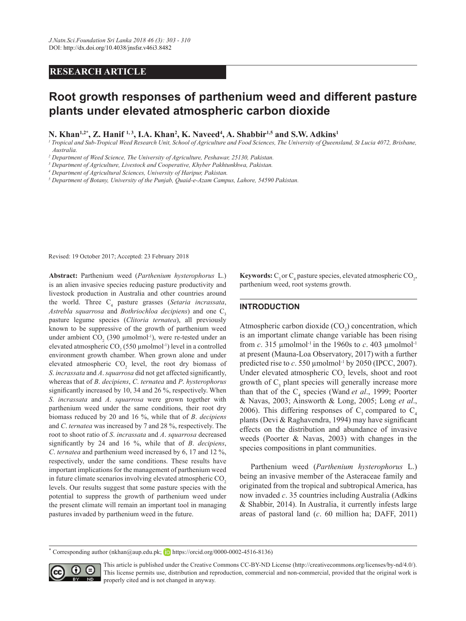## **RESEARCH ARTICLE**

# **Root growth responses of parthenium weed and different pasture plants under elevated atmospheric carbon dioxide**

N. Khan<sup>1,2\*</sup>, Z. Hanif <sup>1,3</sup>, I.A. Khan<sup>2</sup>, K. Naveed<sup>4</sup>, A. Shabbir<sup>1,5</sup> and S.W. Adkins<sup>1</sup>

<sup>1</sup> Tropical and Sub-Tropical Weed Research Unit, School of Agriculture and Food Sciences, The University of Queensland, St Lucia 4072, Brisbane, *Australia.*

*2 Department of Weed Science, The University of Agriculture, Peshawar, 25130, Pakistan.*

*3 Department of Agriculture, Livestock and Cooperative, Khyber Pakhtunkhwa, Pakistan.*

*4 Department of Agricultural Sciences, University of Haripur, Pakistan.*

*5 Department of Botany, University of the Punjab, Quaid-e-Azam Campus, Lahore, 54590 Pakistan.*

Revised: 19 October 2017; Accepted: 23 February 2018

**Abstract:** Parthenium weed (*Parthenium hysterophorus* L.) is an alien invasive species reducing pasture productivity and livestock production in Australia and other countries around the world. Three C<sub>4</sub> pasture grasses (*Setaria incrassata*, *Astrebla squarrosa* and *Bothriochloa decipiens*) and one C<sub>2</sub> pasture legume species (*Clitoria ternatea*), all previously known to be suppressive of the growth of parthenium weed under ambient  $CO_2$  (390  $\mu$ molmol<sup>-1</sup>), were re-tested under an elevated atmospheric  $CO<sub>2</sub>$  (550 µmolmol<sup>-1</sup>) level in a controlled environment growth chamber. When grown alone and under elevated atmospheric  $CO<sub>2</sub>$  level, the root dry biomass of *S*. *incrassata* and *A*. *squarrosa* did not get affected significantly, whereas that of *B*. *decipiens*, *C*. *ternatea* and *P*. *hysterophorus* significantly increased by 10, 34 and 26 %, respectively. When *S*. *incrassata* and *A*. *squarrosa* were grown together with parthenium weed under the same conditions, their root dry biomass reduced by 20 and 16 %, while that of *B*. *decipiens* and *C*. *ternatea* was increased by 7 and 28 %, respectively. The root to shoot ratio of *S*. *incrassata* and *A*. *squarrosa* decreased significantly by 24 and 16 %, while that of *B*. *decipiens*, *C*. *ternatea* and parthenium weed increased by 6, 17 and 12 %, respectively, under the same conditions. These results have important implications for the management of parthenium weed in future climate scenarios involving elevated atmospheric CO<sub>2</sub> levels. Our results suggest that some pasture species with the potential to suppress the growth of parthenium weed under the present climate will remain an important tool in managing pastures invaded by parthenium weed in the future.

**Keywords:**  $C_3$  or  $C_4$  pasture species, elevated atmospheric  $CO_2$ , parthenium weed, root systems growth.

## **INTRODUCTION**

Atmospheric carbon dioxide  $(CO_2)$  concentration, which is an important climate change variable has been rising from *c*. 315 µmolmol<sup>-1</sup> in the 1960s to *c*. 403 µmolmol<sup>-1</sup> at present (Mauna-Loa Observatory, 2017) with a further predicted rise to  $c$ . 550  $\mu$ molmol<sup>-1</sup> by 2050 (IPCC, 2007). Under elevated atmospheric  $CO<sub>2</sub>$  levels, shoot and root growth of  $C_3$  plant species will generally increase more than that of the  $C_4$  species (Wand *et al.*, 1999; Poorter & Navas, 2003; Ainsworth & Long, 2005; Long *et al*., 2006). This differing responses of  $C_3$  compared to  $C_4$ plants (Devi & Raghavendra, 1994) may have significant effects on the distribution and abundance of invasive weeds (Poorter & Navas, 2003) with changes in the species compositions in plant communities.

Parthenium weed (*Parthenium hysterophorus* L.) being an invasive member of the Asteraceae family and originated from the tropical and subtropical America, has now invaded *c*. 35 countries including Australia (Adkins & Shabbir, 2014). In Australia, it currently infests large areas of pastoral land (*c*. 60 million ha; DAFF, 2011)

**<sup>\*</sup>** Corresponding author (nkhan@aup.edu.pk; https://orcid.org/0000-0002-4516-8136)



This article is published under the Creative Commons CC-BY-ND License (http://creativecommons.org/licenses/by-nd/4.0/). This license permits use, distribution and reproduction, commercial and non-commercial, provided that the original work is properly cited and is not changed in anyway.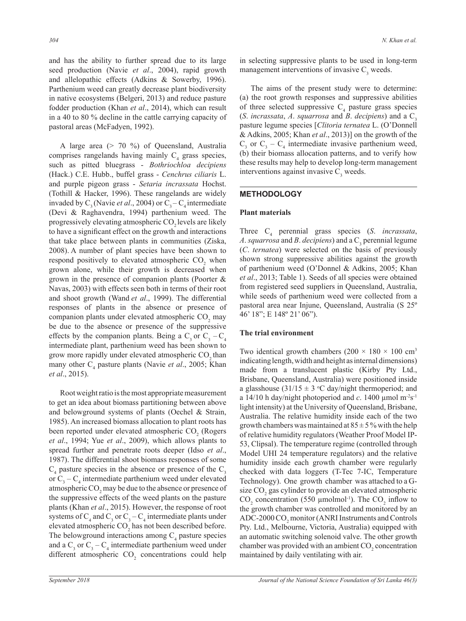and has the ability to further spread due to its large seed production (Navie *et al*., 2004), rapid growth and allelopathic effects (Adkins & Sowerby, 1996). Parthenium weed can greatly decrease plant biodiversity in native ecosystems (Belgeri, 2013) and reduce pasture fodder production (Khan *et al*., 2014), which can result in a 40 to 80 % decline in the cattle carrying capacity of pastoral areas (McFadyen, 1992).

A large area (> 70 %) of Queensland, Australia comprises rangelands having mainly  $C_4$  grass species, such as pitted bluegrass - *Bothriochloa decipiens* (Hack.) C.E. Hubb., buffel grass - *Cenchrus ciliaris* L. and purple pigeon grass - *Setaria incrassata* Hochst. (Tothill & Hacker, 1996). These rangelands are widely invaded by  $C_3$  (Navie *et al.*, 2004) or  $C_3 - C_4$  intermediate (Devi & Raghavendra, 1994) parthenium weed. The progressively elevating atmospheric CO<sub>2</sub> levels are likely to have a significant effect on the growth and interactions that take place between plants in communities (Ziska, 2008). A number of plant species have been shown to respond positively to elevated atmospheric  $CO<sub>2</sub>$  when grown alone, while their growth is decreased when grown in the presence of companion plants (Poorter & Navas, 2003) with effects seen both in terms of their root and shoot growth (Wand *et al*., 1999). The differential responses of plants in the absence or presence of companion plants under elevated atmospheric  $CO_2$  may be due to the absence or presence of the suppressive effects by the companion plants. Being a  $C_3$  or  $C_3 - C_4$ intermediate plant, parthenium weed has been shown to grow more rapidly under elevated atmospheric CO<sub>2</sub> than many other C<sub>4</sub> pasture plants (Navie *et al.*, 2005; Khan *et al*., 2015).

Root weight ratio is the most appropriate measurement to get an idea about biomass partitioning between above and belowground systems of plants (Oechel & Strain, 1985). An increased biomass allocation to plant roots has been reported under elevated atmospheric  $CO<sub>2</sub>$  (Rogers *et al*., 1994; Yue *et al*., 2009), which allows plants to spread further and penetrate roots deeper (Idso *et al*., 1987). The differential shoot biomass responses of some  $C_4$  pasture species in the absence or presence of the  $C_3$ or  $C_3 - C_4$  intermediate parthenium weed under elevated atmospheric  $\mathrm{CO}_2$  may be due to the absence or presence of the suppressive effects of the weed plants on the pasture plants (Khan *et al*., 2015). However, the response of root systems of  $C_4$  and  $C_3$  or  $C_3 - C_4$  intermediate plants under elevated atmospheric  $CO_2$  has not been described before. The belowground interactions among  $C_4$  pasture species and a  $C_3$  or  $C_3 - C_4$  intermediate parthenium weed under different atmospheric  $CO<sub>2</sub>$  concentrations could help

in selecting suppressive plants to be used in long-term management interventions of invasive  $C_3$  weeds.

The aims of the present study were to determine: (a) the root growth responses and suppressive abilities of three selected suppressive  $C_4$  pasture grass species (*S.* incrassata, A. squarrosa and *B. decipiens*) and a  $C_3$ pasture legume species [*Clitoria ternatea* L. (O'Donnell & Adkins, 2005; Khan *et al*., 2013)] on the growth of the  $C_3$  or  $C_3 - C_4$  intermediate invasive parthenium weed, (b) their biomass allocation patterns, and to verify how these results may help to develop long-term management interventions against invasive  $C_3$  weeds.

## **METHODOLOGY**

#### **Plant materials**

Three C<sub>4</sub> perennial grass species (*S. incrassata*, *A*. *squarrosa* and *B*. *decipiens*) and a  $C_3$  perennial legume (*C*. *ternatea*) were selected on the basis of previously shown strong suppressive abilities against the growth of parthenium weed (O'Donnel & Adkins, 2005; Khan *et al*., 2013; Table 1). Seeds of all species were obtained from registered seed suppliers in Queensland, Australia, while seeds of parthenium weed were collected from a pastoral area near Injune, Queensland, Australia (S 25º 46' 18"; E 148º 21' 06").

#### **The trial environment**

Two identical growth chambers  $(200 \times 180 \times 100 \text{ cm}^3)$ indicating length, width and height as internal dimensions) made from a translucent plastic (Kirby Pty Ltd., Brisbane, Queensland, Australia) were positioned inside a glasshouse  $(31/15 \pm 3 \degree C$  day/night thermoperiod; and a 14/10 h day/night photoperiod and  $c$ . 1400  $\mu$ mol m<sup>-2</sup>s<sup>-1</sup> light intensity) at the University of Queensland, Brisbane, Australia. The relative humidity inside each of the two growth chambers was maintained at  $85 \pm 5$ % with the help of relative humidity regulators (Weather Proof Model IP-53, Clipsal). The temperature regime (controlled through Model UHI 24 temperature regulators) and the relative humidity inside each growth chamber were regularly checked with data loggers (T-Tec 7-IC, Temperature Technology). One growth chamber was attached to a Gsize  $CO<sub>2</sub>$  gas cylinder to provide an elevated atmospheric  $CO_2$  concentration (550 µmolmol<sup>-1</sup>). The  $CO_2$  inflow to the growth chamber was controlled and monitored by an ADC-2000  $\mathrm{CO}_2$  monitor (ANRI Instruments and Controls Pty. Ltd., Melbourne, Victoria, Australia) equipped with an automatic switching solenoid valve. The other growth chamber was provided with an ambient  $CO_2$  concentration maintained by daily ventilating with air.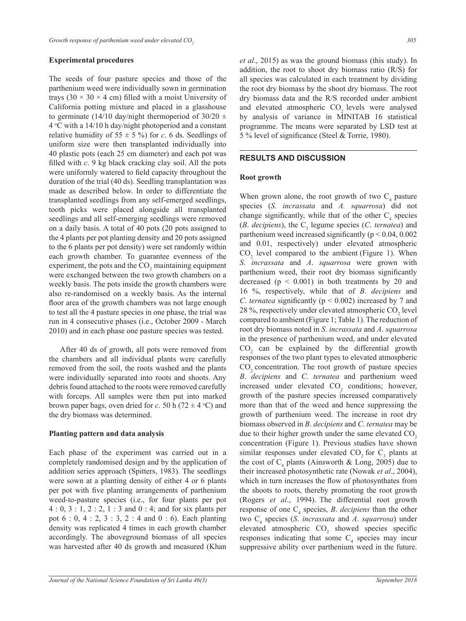### **Experimental procedures**

The seeds of four pasture species and those of the parthenium weed were individually sown in germination trays (30  $\times$  30  $\times$  4 cm) filled with a moist University of California potting mixture and placed in a glasshouse to germinate (14/10 day/night thermoperiod of  $30/20 \pm$  $4^{\circ}$ C with a 14/10 h day/night photoperiod and a constant relative humidity of  $55 \pm 5$  %) for *c*. 6 ds. Seedlings of uniform size were then transplanted individually into 40 plastic pots (each 25 cm diameter) and each pot was filled with *c*. 9 kg black cracking clay soil. All the pots were uniformly watered to field capacity throughout the duration of the trial (40 ds). Seedling transplantation was made as described below. In order to differentiate the transplanted seedlings from any self-emerged seedlings, tooth picks were placed alongside all transplanted seedlings and all self-emerging seedlings were removed on a daily basis. A total of 40 pots (20 pots assigned to the 4 plants per pot planting density and 20 pots assigned to the 6 plants per pot density) were set randomly within each growth chamber. To guarantee evenness of the experiment, the pots and the  $CO<sub>2</sub>$  maintaining equipment were exchanged between the two growth chambers on a weekly basis. The pots inside the growth chambers were also re-randomised on a weekly basis. As the internal floor area of the growth chambers was not large enough to test all the 4 pasture species in one phase, the trial was run in 4 consecutive phases (i.e., October 2009 - March 2010) and in each phase one pasture species was tested.

After 40 ds of growth, all pots were removed from the chambers and all individual plants were carefully removed from the soil, the roots washed and the plants were individually separated into roots and shoots. Any debris found attached to the roots were removed carefully with forceps. All samples were then put into marked brown paper bags, oven dried for *c*. 50 h (72  $\pm$  4 °C) and the dry biomass was determined.

## **Planting pattern and data analysis**

Each phase of the experiment was carried out in a completely randomised design and by the application of addition series approach (Spitters, 1983). The seedlings were sown at a planting density of either 4 or 6 plants per pot with five planting arrangements of parthenium weed-to-pasture species (i.e., for four plants per pot 4 : 0, 3 : 1, 2 : 2, 1 : 3 and 0 : 4; and for six plants per pot 6 : 0, 4 : 2, 3 : 3, 2 : 4 and 0 : 6). Each planting density was replicated 4 times in each growth chamber accordingly. The aboveground biomass of all species was harvested after 40 ds growth and measured (Khan *et al*., 2015) as was the ground biomass (this study). In addition, the root to shoot dry biomass ratio (R/S) for all species was calculated in each treatment by dividing the root dry biomass by the shoot dry biomass. The root dry biomass data and the R/S recorded under ambient and elevated atmospheric CO<sub>2</sub> levels were analysed by analysis of variance in MINITAB 16 statistical programme. The means were separated by LSD test at 5 % level of significance (Steel & Torrie, 1980).

#### **RESULTS AND DISCUSSION**

#### **Root growth**

When grown alone, the root growth of two  $C_4$  pasture species (*S. incrassata* and *A. squarrosa*) did not change significantly, while that of the other  $C_4$  species  $(B.$  *decipiens*), the  $C_3$  legume species (*C. ternatea*) and parthenium weed increased significantly ( $p < 0.04$ , 0.002 and 0.01, respectively) under elevated atmospheric  $CO<sub>2</sub>$  level compared to the ambient (Figure 1). When *S*. *incrassata* and *A*. *squarrosa* were grown with parthenium weed, their root dry biomass significantly decreased  $(p < 0.001)$  in both treatments by 20 and 16 %, respectively, while that of *B*. *decipiens* and *C*. *ternatea* significantly (p < 0.002) increased by 7 and 28 %, respectively under elevated atmospheric  $CO<sub>2</sub>$  level compared to ambient (Figure 1; Table 1). The reduction of root dry biomass noted in *S*. *incrassata* and *A*. *squarrosa* in the presence of parthenium weed, and under elevated  $CO<sub>2</sub>$  can be explained by the differential growth responses of the two plant types to elevated atmospheric CO<sub>2</sub> concentration. The root growth of pasture species *B*. *decipiens* and *C*. *ternatea* and parthenium weed increased under elevated  $CO<sub>2</sub>$  conditions; however, growth of the pasture species increased comparatively more than that of the weed and hence suppressing the growth of parthenium weed. The increase in root dry biomass observed in *B*. *decipiens* and *C*. *ternatea* may be due to their higher growth under the same elevated  $CO<sub>2</sub>$ concentration (Figure 1). Previous studies have shown similar responses under elevated  $CO_2$  for  $C_3$  plants at the cost of  $C_4$  plants (Ainsworth & Long, 2005) due to their increased photosynthetic rate (Nowak *et al*., 2004), which in turn increases the flow of photosynthates from the shoots to roots, thereby promoting the root growth (Rogers *et al*., 1994). The differential root growth response of one C<sub>4</sub> species, *B. decipiens* than the other two C4 species (*S*. *incrassata* and *A*. *squarrosa*) under elevated atmospheric  $CO<sub>2</sub>$  showed species specific responses indicating that some  $C_4$  species may incur suppressive ability over parthenium weed in the future.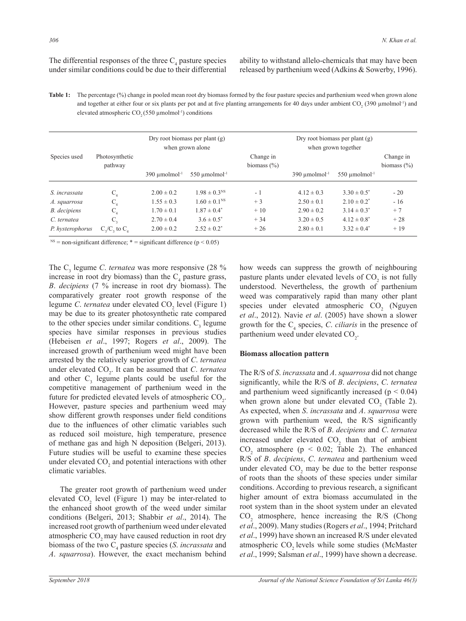The differential responses of the three  $C_4$  pasture species under similar conditions could be due to their differential

ability to withstand allelo-chemicals that may have been released by parthenium weed (Adkins & Sowerby, 1996).

Table 1: The percentage (%) change in pooled mean root dry biomass formed by the four pasture species and parthenium weed when grown alone and together at either four or six plants per pot and at five planting arrangements for 40 days under ambient  $CO_2$  (390  $\mu$ molmol<sup>-1</sup>) and elevated atmospheric  $CO<sub>2</sub>$  (550 µmolmol<sup>-1</sup>) conditions

|                  |                                      | Dry root biomass per plant $(g)$<br>when grown alone |                                | Dry root biomass per plant $(g)$<br>when grown together |                                |                                |                              |  |
|------------------|--------------------------------------|------------------------------------------------------|--------------------------------|---------------------------------------------------------|--------------------------------|--------------------------------|------------------------------|--|
| Species used     | Photosynthetic<br>pathway            |                                                      |                                | Change in<br>biomass $(\% )$                            |                                |                                | Change in<br>biomass $(\% )$ |  |
|                  |                                      | $390 \mu$ molmol <sup>-1</sup>                       | $550 \mu$ molmol <sup>-1</sup> |                                                         | $390 \mu$ molmol <sup>-1</sup> | $550 \mu$ molmol <sup>-1</sup> |                              |  |
| S. incrassata    | $C_{\scriptscriptstyle A}$           | $2.00 \pm 0.2$                                       | $1.98 \pm 0.3$ <sup>NS</sup>   | - 1                                                     | $4.12 \pm 0.3$                 | $3.30 \pm 0.5^*$               | $-20$                        |  |
| A. squarrosa     | $C_{\scriptscriptstyle{A}}$          | $1.55 \pm 0.3$                                       | $1.60 \pm 0.1$ <sup>NS</sup>   | $+3$                                                    | $2.50 \pm 0.1$                 | $2.10 \pm 0.2^*$               | $-16$                        |  |
| B. decipiens     |                                      | $1.70 \pm 0.1$                                       | $1.87 \pm 0.4^*$               | $+10$                                                   | $2.90 \pm 0.2$                 | $3.14 \pm 0.3^*$               | $+7$                         |  |
| C. ternatea      | C,                                   | $2.70 \pm 0.4$                                       | $3.6 \pm 0.5^*$                | $+34$                                                   | $3.20 \pm 0.5$                 | $4.12 \pm 0.8^*$               | $+28$                        |  |
| P. hysterophorus | $C_{\rm A}/C_{\rm A}$ to $C_{\rm A}$ | $2.00 \pm 0.2$                                       | $2.52 \pm 0.2^*$               | $+26$                                                   | $2.80 \pm 0.1$                 | $3.32 \pm 0.4^*$               | $+19$                        |  |

 $N$ <sup>NS</sup> = non-significant difference; \* = significant difference (p < 0.05)

The  $C_3$  legume *C. ternatea* was more responsive (28 %) increase in root dry biomass) than the  $C_4$  pasture grass, *B*. *decipiens* (7 % increase in root dry biomass). The comparatively greater root growth response of the legume *C. ternatea* under elevated CO<sub>2</sub> level (Figure 1) may be due to its greater photosynthetic rate compared to the other species under similar conditions.  $C_3$  legume species have similar responses in previous studies (Hebeisen *et al*., 1997; Rogers *et al*., 2009). The increased growth of parthenium weed might have been arrested by the relatively superior growth of *C*. *ternatea*  under elevated CO<sub>2</sub>. It can be assumed that *C. ternatea* and other  $C_3$  legume plants could be useful for the competitive management of parthenium weed in the future for predicted elevated levels of atmospheric  $CO<sub>2</sub>$ . However, pasture species and parthenium weed may show different growth responses under field conditions due to the influences of other climatic variables such as reduced soil moisture, high temperature, presence of methane gas and high N deposition (Belgeri, 2013). Future studies will be useful to examine these species under elevated  $CO<sub>2</sub>$  and potential interactions with other climatic variables.

The greater root growth of parthenium weed under elevated  $CO_2$  level (Figure 1) may be inter-related to the enhanced shoot growth of the weed under similar conditions (Belgeri, 2013; Shabbir *et al*., 2014). The increased root growth of parthenium weed under elevated atmospheric CO<sub>2</sub> may have caused reduction in root dry biomass of the two C<sub>4</sub> pasture species (*S. incrassata* and *A*. *squarrosa*). However, the exact mechanism behind

how weeds can suppress the growth of neighbouring pasture plants under elevated levels of  $CO_2$  is not fully understood. Nevertheless, the growth of parthenium weed was comparatively rapid than many other plant species under elevated atmospheric  $CO<sub>2</sub>$  (Nguyen *et al*., 2012). Navie *et al*. (2005) have shown a slower growth for the  $C_4$  species, *C. ciliaris* in the presence of parthenium weed under elevated  $CO<sub>2</sub>$ .

## **Biomass allocation pattern**

The R/S of *S*. *incrassata* and *A*. *squarrosa* did not change significantly, while the R/S of *B*. *decipiens*, *C*. *ternatea*  and parthenium weed significantly increased  $(p < 0.04)$ when grown alone but under elevated  $CO<sub>2</sub>$  (Table 2). As expected, when *S*. *incrassata* and *A*. *squarrosa* were grown with parthenium weed, the R/S significantly decreased while the R/S of *B*. *decipiens* and *C*. *ternatea* increased under elevated  $CO<sub>2</sub>$  than that of ambient  $CO<sub>2</sub>$  atmosphere ( $p < 0.02$ ; Table 2). The enhanced R/S of *B*. *decipiens*, *C*. *ternatea* and parthenium weed under elevated  $CO<sub>2</sub>$  may be due to the better response of roots than the shoots of these species under similar conditions. According to previous research, a significant higher amount of extra biomass accumulated in the root system than in the shoot system under an elevated  $CO<sub>2</sub>$  atmosphere, hence increasing the R/S (Chong *et al*., 2009). Many studies (Rogers *et al*., 1994; Pritchard *et al*., 1999) have shown an increased R/S under elevated atmospheric CO<sub>2</sub> levels while some studies (McMaster *et al*., 1999; Salsman *et al*., 1999) have shown a decrease.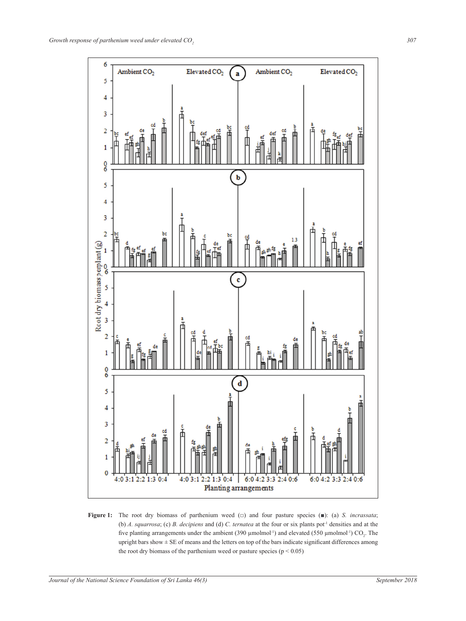

five planting arrangements under the ambient (390  $\mu$ molmol<sup>-1</sup>) and elevated (550  $\mu$ molmol<sup>-1</sup>) CO<sub>2</sub>. The applying the root dry biomass of the parthenium weed or pasture species ( $p < 0.05$ ) **Figure 1:** The root dry biomass of parthenium weed (□) and four pasture species (■): (a) *S. incrassata*; (b) *A. squarrosa*; (c) *B. decipiens* and (d) *C. ternatea* at the four or six plants pot<sup>1</sup> densities and at the upright bars show  $\pm$  SE of means and the letters on top of the bars indicate significant differences among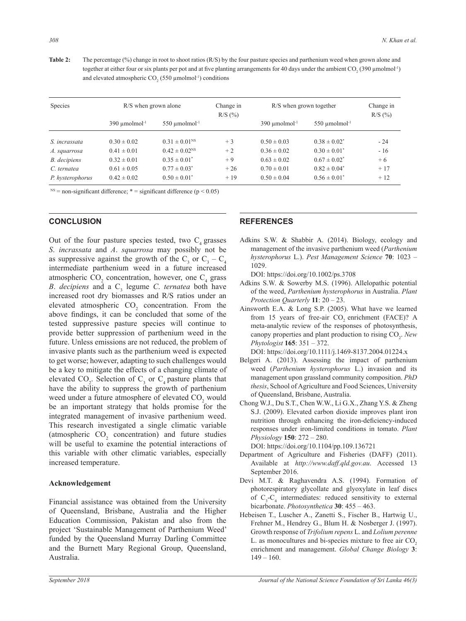**Table 2:** The percentage (%) change in root to shoot ratios (R/S) by the four pasture species and parthenium weed when grown alone and together at either four or six plants per pot and at five planting arrangements for 40 days under the ambient  $CO_2(390 \mu molmol^{-1})$ and elevated atmospheric  $CO<sub>2</sub>$  (550  $\mu$ molmol<sup>-1</sup>) conditions

| <b>Species</b>   | $R/S$ when grown alone         |                                | Change in<br>R/S (%) | R/S when grown together        |                                | Change in<br>R/S (%) |
|------------------|--------------------------------|--------------------------------|----------------------|--------------------------------|--------------------------------|----------------------|
|                  | $390 \mu$ molmol <sup>-1</sup> | $550 \mu$ molmol <sup>-1</sup> |                      | $390 \mu$ molmol <sup>-1</sup> | $550 \mu$ molmol <sup>-1</sup> |                      |
| S. incrassata    | $0.30 \pm 0.02$                | $0.31 \pm 0.01^{NS}$           | $+3$                 | $0.50 \pm 0.03$                | $0.38 \pm 0.02^*$              | $-24$                |
| A. squarrosa     | $0.41 \pm 0.01$                | $0.42 \pm 0.02^{\text{NS}}$    | $+2$                 | $0.36 \pm 0.02$                | $0.30 \pm 0.01^*$              | $-16$                |
| B. decipiens     | $0.32 \pm 0.01$                | $0.35 \pm 0.01^*$              | $+9$                 | $0.63 \pm 0.02$                | $0.67 \pm 0.02^*$              | $+6$                 |
| C. ternatea      | $0.61 \pm 0.05$                | $0.77 \pm 0.03^*$              | $+26$                | $0.70 \pm 0.01$                | $0.82 \pm 0.04^*$              | $+17$                |
| P. hysterophorus | $0.42 \pm 0.02$                | $0.50 \pm 0.01^*$              | $+19$                | $0.50 \pm 0.04$                | $0.56 \pm 0.01^*$              | $+12$                |

 $N<sup>S</sup>$  = non-significant difference; \* = significant difference (p < 0.05)

# **CONCLUSION**

Out of the four pasture species tested, two  $C_4$  grasses *S*. *incrassata* and *A*. *squarrosa* may possibly not be as suppressive against the growth of the  $C_3$  or  $C_3 - C_4$ intermediate parthenium weed in a future increased atmospheric  $CO_2$  concentration, however, one  $C_4$  grass *B*. *decipiens* and a C<sub>3</sub> legume *C*. *ternatea* both have increased root dry biomasses and R/S ratios under an elevated atmospheric  $CO<sub>2</sub>$  concentration. From the above findings, it can be concluded that some of the tested suppressive pasture species will continue to provide better suppression of parthenium weed in the future. Unless emissions are not reduced, the problem of invasive plants such as the parthenium weed is expected to get worse; however, adapting to such challenges would be a key to mitigate the effects of a changing climate of elevated  $CO_2$ . Selection of  $C_3$  or  $C_4$  pasture plants that have the ability to suppress the growth of parthenium weed under a future atmosphere of elevated  $CO_2$  would be an important strategy that holds promise for the integrated management of invasive parthenium weed. This research investigated a single climatic variable (atmospheric  $CO_2$  concentration) and future studies will be useful to examine the potential interactions of this variable with other climatic variables, especially increased temperature.

## **Acknowledgement**

Financial assistance was obtained from the University of Queensland, Brisbane, Australia and the Higher Education Commission, Pakistan and also from the project 'Sustainable Management of Parthenium Weed' funded by the Queensland Murray Darling Committee and the Burnett Mary Regional Group, Queensland, Australia.

# **REFERENCES**

Adkins S.W. & Shabbir A. (2014). Biology, ecology and management of the invasive parthenium weed (*Parthenium hysterophorus* L.). *Pest Management Science* **70**: 1023 – 1029.

DOI: https://doi.org/10.1002/ps.3708

- Adkins S.W. & Sowerby M.S. (1996). Allelopathic potential of the weed, *Parthenium hysterophorus* in Australia. *Plant Protection Quarterly* **11**: 20 – 23.
- Ainsworth E.A. & Long S.P. (2005). What have we learned from 15 years of free-air CO<sub>2</sub> enrichment (FACE)? A meta-analytic review of the responses of photosynthesis, canopy properties and plant production to rising CO<sub>2</sub>. New *Phytologist* **165**: 351 – 372.

DOI: https://doi.org/10.1111/j.1469-8137.2004.01224.x

- Belgeri A. (2013). Assessing the impact of parthenium weed (*Parthenium hysterophorus* L.) invasion and its management upon grassland community composition. *PhD thesis*, School of Agriculture and Food Sciences, University of Queensland, Brisbane, Australia.
- Chong W.J., Du S.T., Chen W.W., Li G.X., Zhang Y.S. & Zheng S.J. (2009). Elevated carbon dioxide improves plant iron nutrition through enhancing the iron-deficiency-induced responses under iron-limited conditions in tomato. *Plant Physiology* **150**: 272 – 280.

DOI: https://doi.org/10.1104/pp.109.136721

- Department of Agriculture and Fisheries (DAFF) (2011). Available at *http://www.daff.qld.gov.au*. Accessed 13 September 2016.
- Devi M.T. & Raghavendra A.S. (1994). Formation of photorespiratory glycollate and glyoxylate in leaf discs of  $C_3 - C_4$  intermediates: reduced sensitivity to external bicarbonate. *Photosynthetica* **30**: 455 – 463.
- Hebeisen T., Luscher A., Zanetti S., Fischer B., Hartwig U., Frehner M., Hendrey G., Blum H. & Nosberger J. (1997). Growth response of *Trifolium repens* L. and *Lolium perenne*  L. as monocultures and bi-species mixture to free air  $CO<sub>2</sub>$ enrichment and management. *Global Change Biology* **3**:  $149 - 160.$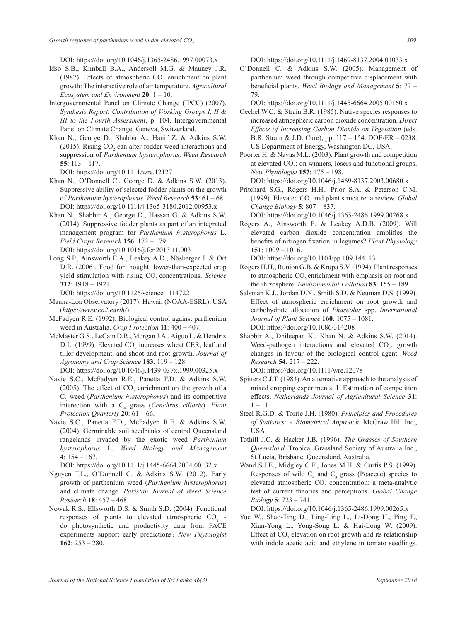DOI: https://doi.org/10.1046/j.1365-2486.1997.00073.x

- Idso S.B., Kimball B.A., Andersoll M.G. & Mauney J.R. (1987). Effects of atmospheric  $CO_2$  enrichment on plant growth: The interactive role of air temperature. *Agricultural Ecosystem and Environment* **20**: 1 – 10.
- Intergovernmental Panel on Climate Change (IPCC) (2007). *Synthesis Report. Contribution of Working Groups I, II & III to the Fourth Assessment*, p. 104. Intergovernmental Panel on Climate Change, Geneva, Switzerland.
- Khan N., George D., Shabbir A., Hanif Z. & Adkins S.W. (2015). Rising  $CO<sub>2</sub>$  can alter fodder-weed interactions and suppression of *Parthenium hysterophorus*. *Weed Research* **55**: 113 – 117.

DOI: https://doi.org/10.1111/wre.12127

- Khan N., O'Donnell C., George D. & Adkins S.W. (2013). Suppressive ability of selected fodder plants on the growth of *Parthenium hysterophorus*. *Weed Research* **53**: 61 – 68. DOI: https://doi.org/10.1111/j.1365-3180.2012.00953.x
- Khan N., Shabbir A., George D., Hassan G. & Adkins S.W. (2014). Suppressive fodder plants as part of an integrated management program for *Parthenium hysterophorus* L. *Field Crops Research* **156**: 172 – 179. DOI: https://doi.org/10.1016/j.fcr.2013.11.003
- Long S.P., Ainsworth E.A., Leakey A.D., Nösberger J. & Ort D.R. (2006). Food for thought: lower-than-expected crop yield stimulation with rising CO<sub>2</sub> concentrations. *Science* **312**: 1918 – 1921.

DOI: https://doi.org/10.1126/science.1114722

- Mauna-Loa Observatory (2017). Hawaii (NOAA-ESRL), USA (*https://www.co2.earth/*).
- McFadyen R.E. (1992). Biological control against parthenium weed in Australia. *Crop Protection* **11**: 400 – 407.
- McMaster G.S., LeCain D.R., Morgan J.A., Aiguo L. & Hendrix D.L. (1999). Elevated  $CO_2$  increases wheat CER, leaf and tiller development, and shoot and root growth. *Journal of Agronomy and Crop Science* **183**: 119 – 128. DOI: https://doi.org/10.1046/j.1439-037x.1999.00325.x
- Navie S.C., McFadyen R.E., Panetta F.D. & Adkins S.W. (2005). The effect of  $CO_2$  enrichment on the growth of a C3 weed (*Parthenium hysterophorus*) and its competitive interection with a C<sub>4</sub> grass (*Cenchrus ciliaris*). *Plant Protection Quarterly* **20**: 61 – 66.
- Navie S.C., Panetta F.D., McFadyen R.E. & Adkins S.W. (2004). Germinable soil seedbanks of central Queensland rangelands invaded by the exotic weed *Parthenium hysterophorus* L. *Weed Biology and Management* **4**: 154 – 167.

DOI: https://doi.org/10.1111/j.1445-6664.2004.00132.x

- Nguyen T.L., O'Donnell C. & Adkins S.W. (2012). Early growth of parthenium weed (*Parthenium hysterophorus*) and climate change. *Pakistan Journal of Weed Science Research* **18**: 457 – 468.
- Nowak R.S., Ellsworth D.S. & Smith S.D. (2004). Functional responses of plants to elevated atmospheric  $CO_2$  do photosynthetic and productivity data from FACE experiments support early predictions? *New Phytologist* **162**: 253 – 280.

DOI: https://doi.org/10.1111/j.1469-8137.2004.01033.x

O'Donnell C. & Adkins S.W. (2005). Management of parthenium weed through competitive displacement with beneficial plants. *Weed Biology and Management* **5**: 77 – 79.

DOI: https://doi.org/10.1111/j.1445-6664.2005.00160.x

Oechel W.C. & Strain B.R. (1985). Native species responses to increased atmospheric carbon dioxide concentration. *Direct Effects of Increasing Carbon Dioxide on Vegetation* (eds. B.R. Strain & J.D. Cure), pp. 117 – 154. DOE/ER – 0238. US Department of Energy, Washington DC, USA.

Poorter H. & Navas M.L. (2003). Plant growth and competition at elevated  $CO_2$ : on winners, losers and functional groups. *New Phytologist* **157**: 175 – 198.

DOI: https://doi.org/10.1046/j.1469-8137.2003.00680.x

Pritchard S.G., Rogers H.H., Prior S.A. & Peterson C.M. (1999). Elevated CO<sub>2</sub> and plant structure: a review. *Global Change Biology* **5**: 807 – 837.

DOI: https://doi.org/10.1046/j.1365-2486.1999.00268.x

Rogers A., Ainsworth E. & Leakey A.D.B. (2009). Will elevated carbon dioxide concentration amplifies the benefits of nitrogen fixation in legumes? *Plant Physiology* **151**: 1009 – 1016.

DOI: https://doi.org/10.1104/pp.109.144113

- Rogers H.H., Runion G.B. & Krupa S.V. (1994). Plant responses to atmospheric CO<sub>2</sub> enrichment with emphasis on root and the rhizosphere. *Environmental Pollution* **83**: 155 – 189.
- Salsman K.J., Jordan D.N., Smith S.D. & Neuman D.S. (1999). Effect of atmospheric enrichment on root growth and carbohydrate allocation of *Phaseolus* spp. *International Journal of Plant Science* **160**: 1075 – 1081. DOI: https://doi.org/10.1086/314208
- Shabbir A., Dhileepan K., Khan N. & Adkins S.W. (2014). Weed-pathogen interactions and elevated  $CO_2$ : growth changes in favour of the biological control agent. *Weed Research* **54**: 217 – 222.

DOI: https://doi.org/10.1111/wre.12078

- Spitters C.J.T. (1983). An alternative approach to the analysis of mixed cropping experiments. 1. Estimation of competition effects. *Netherlands Journal of Agricultural Science* **31**:  $1 - 11$ .
- Steel R.G.D. & Torrie J.H. (1980). *Principles and Procedures of Statistics*: *A Biometrical Approach*. McGraw Hill Inc., USA.
- Tothill J.C. & Hacker J.B. (1996). *The Grasses of Southern Queensland*. Tropical Grassland Society of Australia Inc., St Lucia, Brisbane, Queensland, Australia.
- Wand S.J.E., Midgley G.F., Jones M.H. & Curtis P.S. (1999). Responses of wild  $C_4$  and  $C_3$  grass (Poaceae) species to elevated atmospheric  $CO<sub>2</sub>$  concentration: a meta-analytic test of current theories and perceptions. *Global Change Biology* **5**: 723 – 741.

DOI: https://doi.org/10.1046/j.1365-2486.1999.00265.x

Yue W., Shao-Ting D., Ling-Ling L., Li-Dong H., Ping F., Xian-Yong L., Yong-Song L. & Hai-Long W. (2009). Effect of  $CO<sub>2</sub>$  elevation on root growth and its relationship with indole acetic acid and ethylene in tomato seedlings.